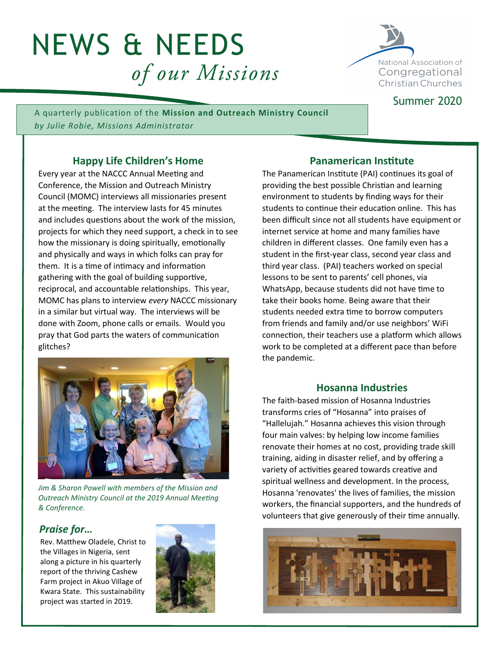# NEWS & NEEDS of our Missions



Summer 2020

A quarterly publication of the **Mission and Outreach Ministry Council** *by Julie Robie, Missions Administrator*

# **Happy Life Children's Home**

Every year at the NACCC Annual Meeting and Conference, the Mission and Outreach Ministry Council (MOMC) interviews all missionaries present at the meeting. The interview lasts for 45 minutes and includes questions about the work of the mission, projects for which they need support, a check in to see how the missionary is doing spiritually, emotionally and physically and ways in which folks can pray for them. It is a time of intimacy and information gathering with the goal of building supportive, reciprocal, and accountable relationships. This year, MOMC has plans to interview *every* NACCC missionary in a similar but virtual way. The interviews will be done with Zoom, phone calls or emails. Would you pray that God parts the waters of communication glitches?



*Jim & Sharon Powell with members of the Mission and Outreach Ministry Council at the 2019 Annual Meeting & Conference.*

# *Praise for…*

Rev. Matthew Oladele, Christ to the Villages in Nigeria, sent along a picture in his quarterly report of the thriving Cashew Farm project in Akuo Village of Kwara State. This sustainability project was started in 2019.



### **Panamerican Institute**

The Panamerican Institute (PAI) continues its goal of providing the best possible Christian and learning environment to students by finding ways for their students to continue their education online. This has been difficult since not all students have equipment or internet service at home and many families have children in different classes. One family even has a student in the first-year class, second year class and third year class. (PAI) teachers worked on special lessons to be sent to parents' cell phones, via WhatsApp, because students did not have time to take their books home. Being aware that their students needed extra time to borrow computers from friends and family and/or use neighbors' WiFi connection, their teachers use a platform which allows work to be completed at a different pace than before the pandemic.

#### **Hosanna Industries**

The faith-based mission of Hosanna Industries transforms cries of "Hosanna" into praises of "Hallelujah." Hosanna achieves this vision through four main valves: by helping low income families renovate their homes at no cost, providing trade skill training, aiding in disaster relief, and by offering a variety of activities geared towards creative and spiritual wellness and development. In the process, Hosanna 'renovates' the lives of families, the mission workers, the financial supporters, and the hundreds of volunteers that give generously of their time annually.